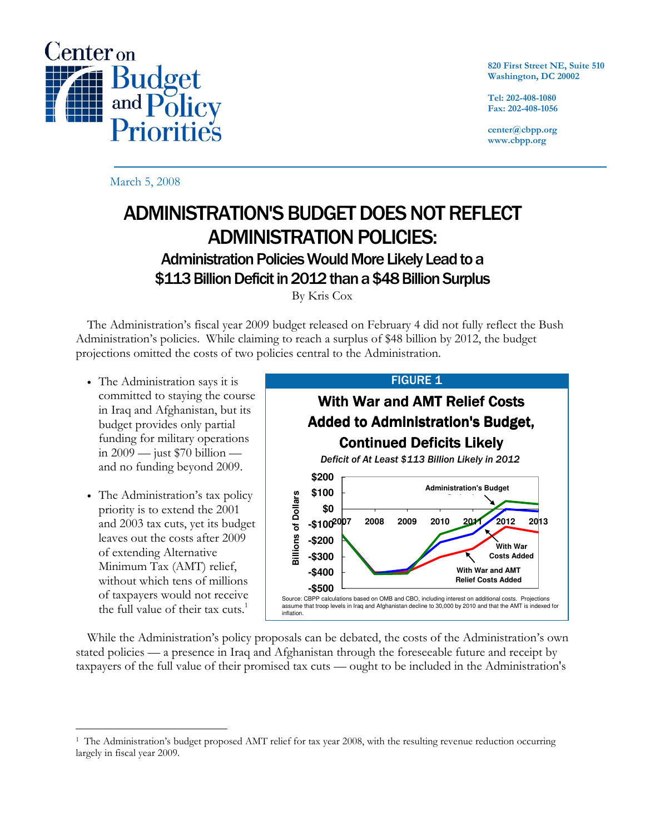

820 First Street NE, Suite 510 Washington, DC 20002

Tel: 202-408-1080 Fax: 202-408-1056

center@cbpp.org www.cbpp.org

March 5, 2008

# ADMINISTRATION'S BUDGET DOES NOT REFLECT ADMINISTRATION POLICIES:

# Administration Policies Would More Likely Lead to a \$113 Billion Deficit in 2012 than a \$48 Billion Surplus

By Kris Cox

 The Administration's fiscal year 2009 budget released on February 4 did not fully reflect the Bush Administration's policies. While claiming to reach a surplus of \$48 billion by 2012, the budget projections omitted the costs of two policies central to the Administration.

- The Administration says it is committed to staying the course in Iraq and Afghanistan, but its budget provides only partial funding for military operations in  $2009 - \text{just } $70 \text{ billion}$ and no funding beyond 2009.
- The Administration's tax policy priority is to extend the 2001 and 2003 tax cuts, yet its budget leaves out the costs after 2009 of extending Alternative Minimum Tax (AMT) relief, without which tens of millions of taxpayers would not receive the full value of their tax cuts. $1$



 While the Administration's policy proposals can be debated, the costs of the Administration's own stated policies — a presence in Iraq and Afghanistan through the foreseeable future and receipt by taxpayers of the full value of their promised tax cuts — ought to be included in the Administration's

 $\overline{a}$ <sup>1</sup> The Administration's budget proposed AMT relief for tax year 2008, with the resulting revenue reduction occurring largely in fiscal year 2009.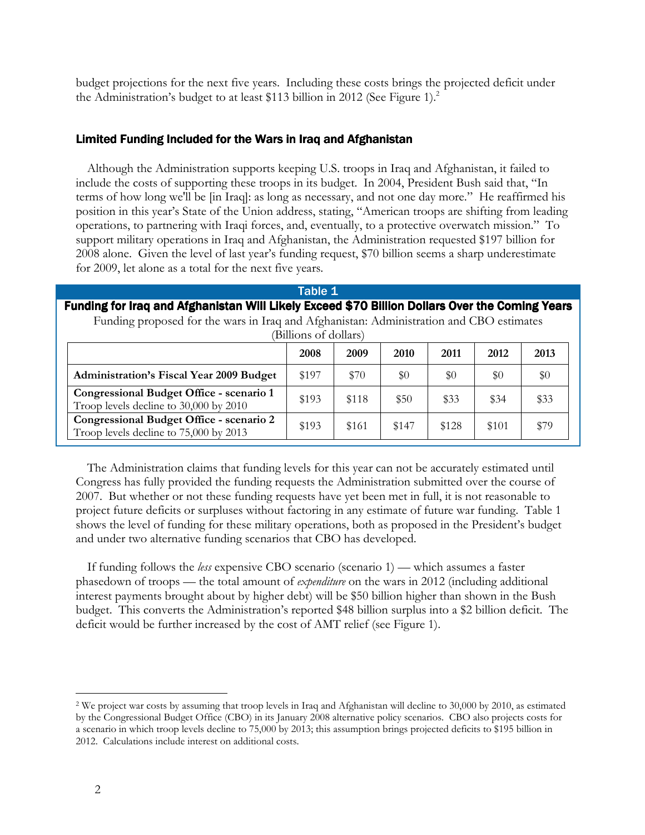budget projections for the next five years. Including these costs brings the projected deficit under the Administration's budget to at least \$113 billion in 2012 (See Figure 1).<sup>2</sup>

## Limited Funding Included for the Wars in Iraq and Afghanistan

 Although the Administration supports keeping U.S. troops in Iraq and Afghanistan, it failed to include the costs of supporting these troops in its budget. In 2004, President Bush said that, "In terms of how long we'll be [in Iraq]: as long as necessary, and not one day more." He reaffirmed his position in this year's State of the Union address, stating, "American troops are shifting from leading operations, to partnering with Iraqi forces, and, eventually, to a protective overwatch mission." To support military operations in Iraq and Afghanistan, the Administration requested \$197 billion for 2008 alone. Given the level of last year's funding request, \$70 billion seems a sharp underestimate for 2009, let alone as a total for the next five years.

| Table 1                                                                                        |       |       |       |       |       |      |
|------------------------------------------------------------------------------------------------|-------|-------|-------|-------|-------|------|
| Funding for Iraq and Afghanistan Will Likely Exceed \$70 Billion Dollars Over the Coming Years |       |       |       |       |       |      |
| Funding proposed for the wars in Iraq and Afghanistan: Administration and CBO estimates        |       |       |       |       |       |      |
| (Billions of dollars)                                                                          |       |       |       |       |       |      |
|                                                                                                | 2008  | 2009  | 2010  | 2011  | 2012  | 2013 |
| <b>Administration's Fiscal Year 2009 Budget</b>                                                | \$197 | \$70  | \$0   | $\$0$ | \$0   | \$0  |
| Congressional Budget Office - scenario 1<br>Troop levels decline to 30,000 by 2010             | \$193 | \$118 | \$50  | \$33  | \$34  | \$33 |
| Congressional Budget Office - scenario 2<br>Troop levels decline to 75,000 by 2013             | \$193 | \$161 | \$147 | \$128 | \$101 | \$79 |

 The Administration claims that funding levels for this year can not be accurately estimated until Congress has fully provided the funding requests the Administration submitted over the course of 2007. But whether or not these funding requests have yet been met in full, it is not reasonable to project future deficits or surpluses without factoring in any estimate of future war funding. Table 1 shows the level of funding for these military operations, both as proposed in the President's budget and under two alternative funding scenarios that CBO has developed.

 If funding follows the less expensive CBO scenario (scenario 1) — which assumes a faster phasedown of troops — the total amount of *expenditure* on the wars in 2012 (including additional interest payments brought about by higher debt) will be \$50 billion higher than shown in the Bush budget. This converts the Administration's reported \$48 billion surplus into a \$2 billion deficit. The deficit would be further increased by the cost of AMT relief (see Figure 1).

 $\overline{a}$ 

<sup>2</sup> We project war costs by assuming that troop levels in Iraq and Afghanistan will decline to 30,000 by 2010, as estimated by the Congressional Budget Office (CBO) in its January 2008 alternative policy scenarios. CBO also projects costs for a scenario in which troop levels decline to 75,000 by 2013; this assumption brings projected deficits to \$195 billion in 2012. Calculations include interest on additional costs.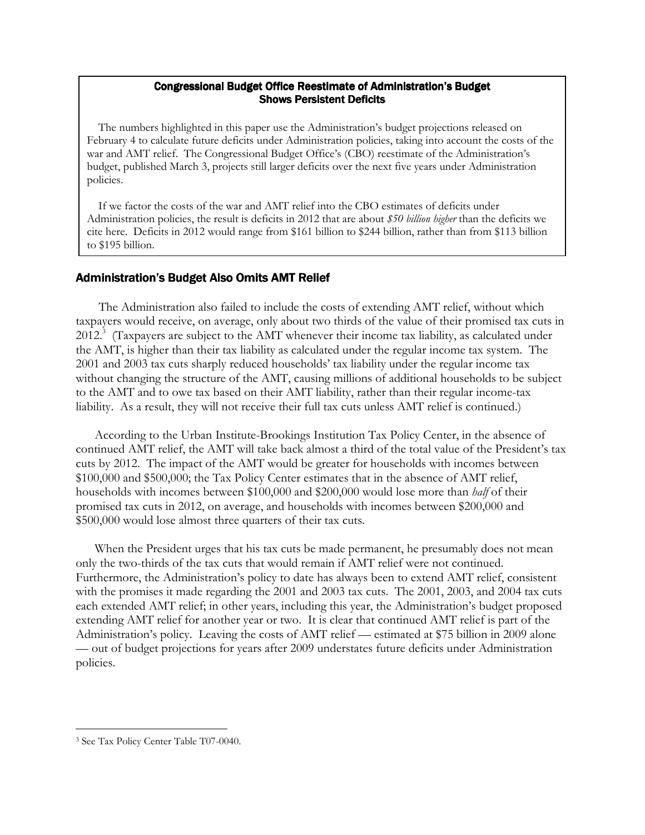#### Congressional Budget Office Reestimate of Administration's Budget **Shows Persistent Deficits**

 The numbers highlighted in this paper use the Administration's budget projections released on February 4 to calculate future deficits under Administration policies, taking into account the costs of the war and AMT relief. The Congressional Budget Office's (CBO) reestimate of the Administration's budget, published March 3, projects still larger deficits over the next five years under Administration policies.

 If we factor the costs of the war and AMT relief into the CBO estimates of deficits under Administration policies, the result is deficits in 2012 that are about \$50 billion higher than the deficits we cite here. Deficits in 2012 would range from \$161 billion to \$244 billion, rather than from \$113 billion to \$195 billion.

## Administration's Budget Also Omits AMT Relief

 The Administration also failed to include the costs of extending AMT relief, without which taxpayers would receive, on average, only about two thirds of the value of their promised tax cuts in  $2012$ .<sup>3</sup> (Taxpayers are subject to the AMT whenever their income tax liability, as calculated under the AMT, is higher than their tax liability as calculated under the regular income tax system. The 2001 and 2003 tax cuts sharply reduced households' tax liability under the regular income tax without changing the structure of the AMT, causing millions of additional households to be subject to the AMT and to owe tax based on their AMT liability, rather than their regular income-tax liability. As a result, they will not receive their full tax cuts unless AMT relief is continued.)

According to the Urban Institute-Brookings Institution Tax Policy Center, in the absence of continued AMT relief, the AMT will take back almost a third of the total value of the President's tax cuts by 2012. The impact of the AMT would be greater for households with incomes between \$100,000 and \$500,000; the Tax Policy Center estimates that in the absence of AMT relief, households with incomes between \$100,000 and \$200,000 would lose more than *half* of their promised tax cuts in 2012, on average, and households with incomes between \$200,000 and \$500,000 would lose almost three quarters of their tax cuts.

When the President urges that his tax cuts be made permanent, he presumably does not mean only the two-thirds of the tax cuts that would remain if AMT relief were not continued. Furthermore, the Administration's policy to date has always been to extend AMT relief, consistent with the promises it made regarding the 2001 and 2003 tax cuts. The 2001, 2003, and 2004 tax cuts each extended AMT relief; in other years, including this year, the Administration's budget proposed extending AMT relief for another year or two. It is clear that continued AMT relief is part of the Administration's policy. Leaving the costs of AMT relief — estimated at \$75 billion in 2009 alone — out of budget projections for years after 2009 understates future deficits under Administration policies.

 $\overline{a}$ 3 See Tax Policy Center Table T07-0040.